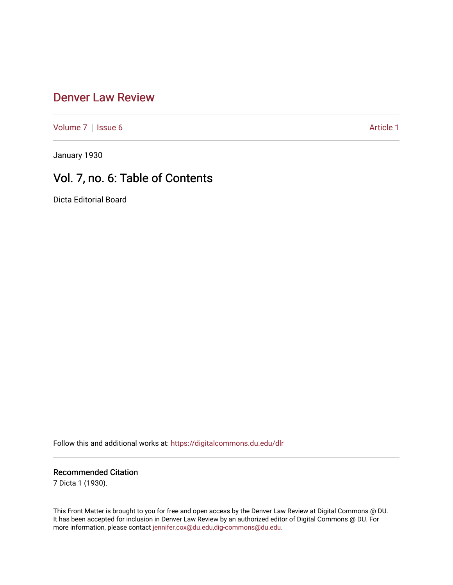# [Denver Law Review](https://digitalcommons.du.edu/dlr)

[Volume 7](https://digitalcommons.du.edu/dlr/vol7) | [Issue 6](https://digitalcommons.du.edu/dlr/vol7/iss6) Article 1

January 1930

# Vol. 7, no. 6: Table of Contents

Dicta Editorial Board

Follow this and additional works at: [https://digitalcommons.du.edu/dlr](https://digitalcommons.du.edu/dlr?utm_source=digitalcommons.du.edu%2Fdlr%2Fvol7%2Fiss6%2F1&utm_medium=PDF&utm_campaign=PDFCoverPages) 

# Recommended Citation

7 Dicta 1 (1930).

This Front Matter is brought to you for free and open access by the Denver Law Review at Digital Commons @ DU. It has been accepted for inclusion in Denver Law Review by an authorized editor of Digital Commons @ DU. For more information, please contact [jennifer.cox@du.edu,dig-commons@du.edu.](mailto:jennifer.cox@du.edu,dig-commons@du.edu)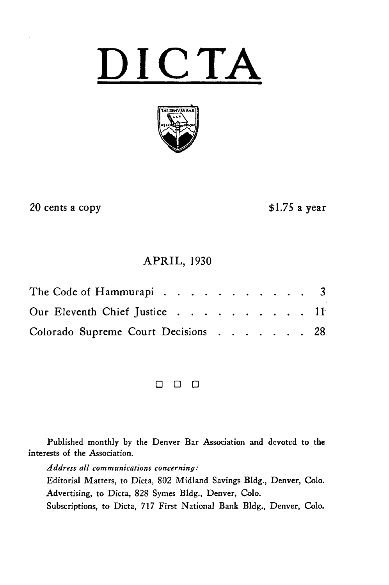# **DICTA**



20 cents a copy

**\$1.75** a year

# APRIL, **1930**

| Our Eleventh Chief Justice 11       |  |  |  |  |
|-------------------------------------|--|--|--|--|
| Colorado Supreme Court Decisions 28 |  |  |  |  |

8 8 8

Published monthly **by** the Denver Bar Association and devoted to the interests of the Association.

*Address all communications concerning:*

Editorial Matters, to Dicta, **802** Midland Savings **Bldg.,** Denver, **Colo.** Advertising, to Dicta, **828** Symes **Bldg.,** Denver, **Colo.**

Subscriptions, to Dicta, **717** First National Bank **Bldg.,** Denver, **Colo.**